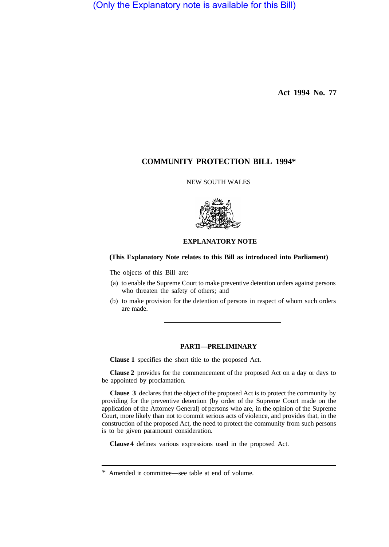(Only the Explanatory note is available for this Bill)

**Act 1994 No. 77** 

# **COMMUNITY PROTECTION BILL 1994\***

# NEW SOUTH WALES



### **EXPLANATORY NOTE**

### **(This Explanatory Note relates to this Bill as introduced into Parliament)**

The objects of this Bill are:

- (a) to enable the Supreme Court to make preventive detention orders against persons who threaten the safety of others; and
- (b) to make provision for the detention of persons in respect of whom such orders are made.

### **PART 1—PRELIMINARY**

**Clause 1** specifies the short title to the proposed Act.

**Clause 2** provides for the commencement of the proposed Act on a day or days to be appointed by proclamation.

**Clause 3** declares that the object of the proposed Act is to protect the community by providing for the preventive detention (by order of the Supreme Court made on the application of the Attorney General) of persons who are, in the opinion of the Supreme Court, more likely than not to commit serious acts of violence, and provides that, in the construction of the proposed Act, the need to protect the community from such persons is to be given paramount consideration.

**Clause 4** defines various expressions used in the proposed Act.

<sup>\*</sup> Amended in committee—see table at end of volume.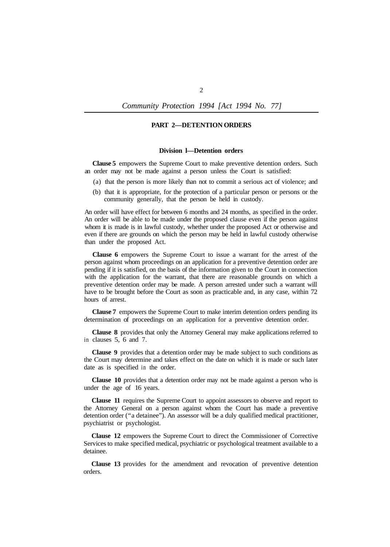*Community Protection 1994 [Act 1994 No. 77]* 

### **PART 2—DETENTION ORDERS**

### **Division l—Detention orders**

**Clause 5** empowers the Supreme Court to make preventive detention orders. Such an order may not be made against a person unless the Court is satisfied:

- (a) that the person is more likely than not to commit a serious act of violence; and
- (b) that it is appropriate, for the protection of a particular person or persons or the community generally, that the person be held in custody.

An order will have effect for between 6 months and 24 months, as specified in the order. An order will be able to be made under the proposed clause even if the person against whom it is made is in lawful custody, whether under the proposed Act or otherwise and even if there are grounds on which the person may be held in lawful custody otherwise than under the proposed Act.

**Clause 6** empowers the Supreme Court to issue a warrant for the arrest of the person against whom proceedings on an application for a preventive detention order are pending if it is satisfied, on the basis of the information given to the Court in connection with the application for the warrant, that there are reasonable grounds on which a preventive detention order may be made. A person arrested under such a warrant will have to be brought before the Court as soon as practicable and, in any case, within 72 hours of arrest.

**Clause 7** empowers the Supreme Court to make interim detention orders pending its determination of proceedings on an application for a preventive detention order.

**Clause 8** provides that only the Attorney General may make applications referred to in clauses 5, 6 and 7.

**Clause 9** provides that a detention order may be made subject to such conditions as the Court may determine and takes effect on the date on which it is made or such later date as is specified in the order.

**Clause 10** provides that a detention order may not be made against a person who is under the age of 16 years.

**Clause 11** requires the Supreme Court to appoint assessors to observe and report to the Attorney General on a person against whom the Court has made a preventive detention order ("a detainee"). An assessor will be a duly qualified medical practitioner, psychiatrist or psychologist.

**Clause 12** empowers the Supreme Court to direct the Commissioner of Corrective Services to make specified medical, psychiatric or psychological treatment available to a detainee.

**Clause 13** provides for the amendment and revocation of preventive detention orders.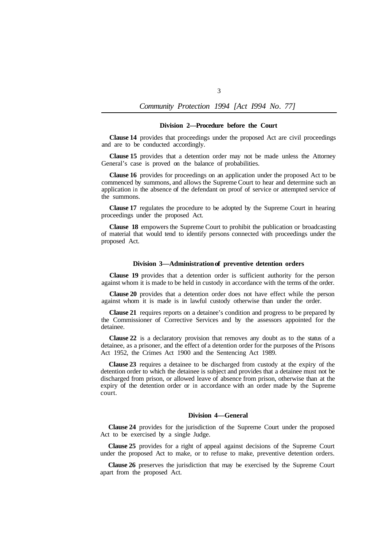#### **Division 2—Procedure before the Court**

**Clause 14** provides that proceedings under the proposed Act are civil proceedings and are to be conducted accordingly.

**Clause 15** provides that a detention order may not be made unless the Attorney General's case is proved on the balance of probabilities.

**Clause 16** provides for proceedings on an application under the proposed Act to be commenced by summons, and allows the Supreme Court to hear and determine such an application in the absence of the defendant on proof of service or attempted service of the summons.

**Clause 17** regulates the procedure to be adopted by the Supreme Court in hearing proceedings under the proposed Act.

**Clause 18** empowers the Supreme Court to prohibit the publication or broadcasting of material that would tend to identify persons connected with proceedings under the proposed Act.

### **Division 3—Administration of preventive detention orders**

**Clause 19** provides that a detention order is sufficient authority for the person against whom it is made to be held in custody in accordance with the terms of the order.

**Clause 20** provides that a detention order does not have effect while the person against whom it is made is in lawful custody otherwise than under the order.

**Clause 21** requires reports on a detainee's condition and progress to be prepared by the Commissioner of Corrective Services and by the assessors appointed for the detainee.

**Clause 22** is a declaratory provision that removes any doubt as to the status of a detainee, as a prisoner, and the effect of a detention order for the purposes of the Prisons Act 1952, the Crimes Act 1900 and the Sentencing Act 1989.

**Clause 23** requires a detainee to be discharged from custody at the expiry of the detention order to which the detainee is subject and provides that a detainee must not be discharged from prison, or allowed leave of absence from prison, otherwise than at the expiry of the detention order or in accordance with an order made by the Supreme court.

#### **Division 4—General**

**Clause 24** provides for the jurisdiction of the Supreme Court under the proposed Act to be exercised by a single Judge.

**Clause 25** provides for a right of appeal against decisions of the Supreme Court under the proposed Act to make, or to refuse to make, preventive detention orders.

**Clause 26** preserves the jurisdiction that may be exercised by the Supreme Court apart from the proposed Act.